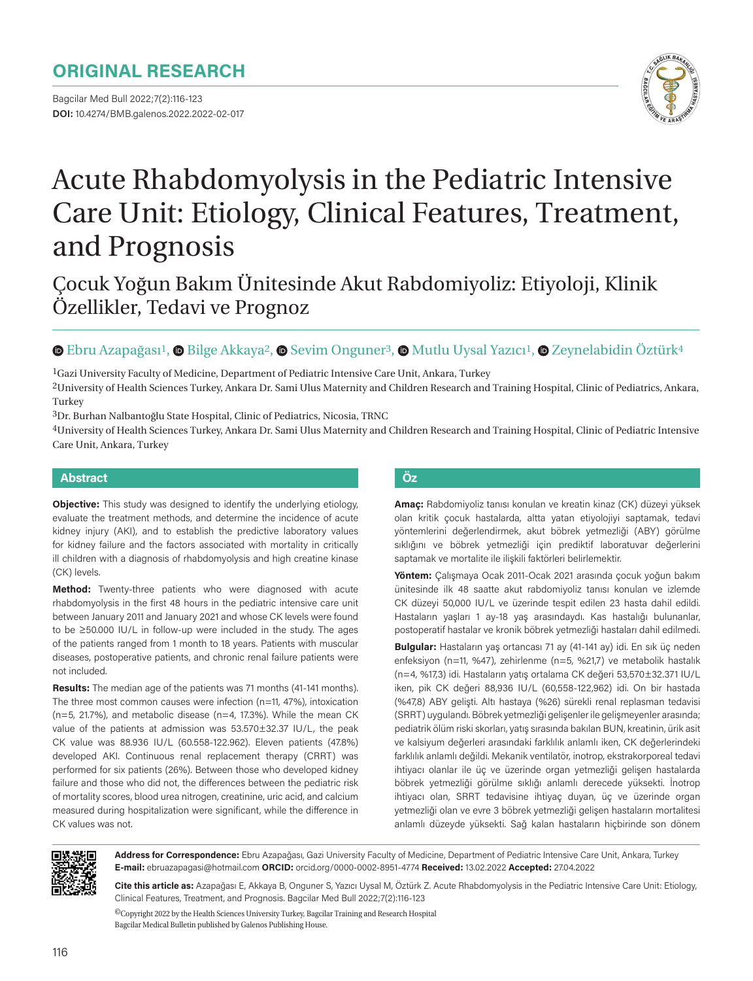# **ORIGINAL RESEARCH**

Bagcilar Med Bull 2022;7(2):116-123 **DOI:** 10.4274/BMB.galenos.2022.2022-02-017



# Acute Rhabdomyolysis in the Pediatric Intensive Care Unit: Etiology, Clinical Features, Treatment, and Prognosis

Çocuk Yoğun Bakım Ünitesinde Akut Rabdomiyoliz: Etiyoloji, Klinik Özellikler, Tedavi ve Prognoz

# **EbruAzapağası<sup>1</sup>, © Bilge Akkaya<sup>2</sup>, © Sevim Onguner<sup>3</sup>, © Mutlu Uysal Yazıcı<sup>1</sup>, © Zeynelabidin Öztürk<sup>4</sup>**

1Gazi University Faculty of Medicine, Department of Pediatric Intensive Care Unit, Ankara, Turkey

2University of Health Sciences Turkey, Ankara Dr. Sami Ulus Maternity and Children Research and Training Hospital, Clinic of Pediatrics, Ankara, Turkey

3Dr. Burhan Nalbantoğlu State Hospital, Clinic of Pediatrics, Nicosia, TRNC

4University of Health Sciences Turkey, Ankara Dr. Sami Ulus Maternity and Children Research and Training Hospital, Clinic of Pediatric Intensive Care Unit, Ankara, Turkey

#### **Abstract Öz**

**Objective:** This study was designed to identify the underlying etiology, evaluate the treatment methods, and determine the incidence of acute kidney injury (AKI), and to establish the predictive laboratory values for kidney failure and the factors associated with mortality in critically ill children with a diagnosis of rhabdomyolysis and high creatine kinase (CK) levels.

**Method:** Twenty-three patients who were diagnosed with acute rhabdomyolysis in the first 48 hours in the pediatric intensive care unit between January 2011 and January 2021 and whose CK levels were found to be ≥50.000 IU/L in follow-up were included in the study. The ages of the patients ranged from 1 month to 18 years. Patients with muscular diseases, postoperative patients, and chronic renal failure patients were not included.

**Results:** The median age of the patients was 71 months (41-141 months). The three most common causes were infection (n=11, 47%), intoxication (n=5, 21.7%), and metabolic disease (n=4, 17.3%). While the mean CK value of the patients at admission was 53.570±32.37 IU/L, the peak CK value was 88.936 IU/L (60.558-122.962). Eleven patients (47.8%) developed AKI. Continuous renal replacement therapy (CRRT) was performed for six patients (26%). Between those who developed kidney failure and those who did not, the differences between the pediatric risk of mortality scores, blood urea nitrogen, creatinine, uric acid, and calcium measured during hospitalization were significant, while the difference in CK values was not.

**Amaç:** Rabdomiyoliz tanısı konulan ve kreatin kinaz (CK) düzeyi yüksek olan kritik çocuk hastalarda, altta yatan etiyolojiyi saptamak, tedavi yöntemlerini değerlendirmek, akut böbrek yetmezliği (ABY) görülme sıklığını ve böbrek yetmezliği için prediktif laboratuvar değerlerini saptamak ve mortalite ile ilişkili faktörleri belirlemektir.

**Yöntem:** Çalışmaya Ocak 2011-Ocak 2021 arasında çocuk yoğun bakım ünitesinde ilk 48 saatte akut rabdomiyoliz tanısı konulan ve izlemde CK düzeyi 50,000 IU/L ve üzerinde tespit edilen 23 hasta dahil edildi. Hastaların yaşları 1 ay-18 yaş arasındaydı. Kas hastalığı bulunanlar, postoperatif hastalar ve kronik böbrek yetmezliği hastaları dahil edilmedi.

**Bulgular:** Hastaların yaş ortancası 71 ay (41-141 ay) idi. En sık üç neden enfeksiyon (n=11, %47), zehirlenme (n=5, %21,7) ve metabolik hastalık (n=4, %17,3) idi. Hastaların yatış ortalama CK değeri 53,570±32.371 IU/L iken, pik CK değeri 88,936 IU/L (60,558-122,962) idi. On bir hastada (%47,8) ABY gelişti. Altı hastaya (%26) sürekli renal replasman tedavisi (SRRT) uygulandı. Böbrek yetmezliği gelişenler ile gelişmeyenler arasında; pediatrik ölüm riski skorları, yatış sırasında bakılan BUN, kreatinin, ürik asit ve kalsiyum değerleri arasındaki farklılık anlamlı iken, CK değerlerindeki farklılık anlamlı değildi. Mekanik ventilatör, inotrop, ekstrakorporeal tedavi ihtiyacı olanlar ile üç ve üzerinde organ yetmezliği gelişen hastalarda böbrek yetmezliği görülme sıklığı anlamlı derecede yüksekti. İnotrop ihtiyacı olan, SRRT tedavisine ihtiyaç duyan, üç ve üzerinde organ yetmezliği olan ve evre 3 böbrek yetmezliği gelişen hastaların mortalitesi anlamlı düzeyde yüksekti. Sağ kalan hastaların hiçbirinde son dönem



**Address for Correspondence:** Ebru Azapağası, Gazi University Faculty of Medicine, Department of Pediatric Intensive Care Unit, Ankara, Turkey **E-mail:** ebruazapagasi@hotmail.com **ORCID:** orcid.org/0000-0002-8951-4774 **Received:** 13.02.2022 **Accepted:** 27.04.2022

**Cite this article as:** Azapağası E, Akkaya B, Onguner S, Yazıcı Uysal M, Öztürk Z. Acute Rhabdomyolysis in the Pediatric Intensive Care Unit: Etiology, Clinical Features, Treatment, and Prognosis. Bagcilar Med Bull 2022;7(2):116-123

 ${}^{{\sf{O}}\!}$  Copyright 2022 by the Health Sciences University Turkey, Bagcilar Training and Research Hospital Bagcilar Medical Bulletin published by Galenos Publishing House.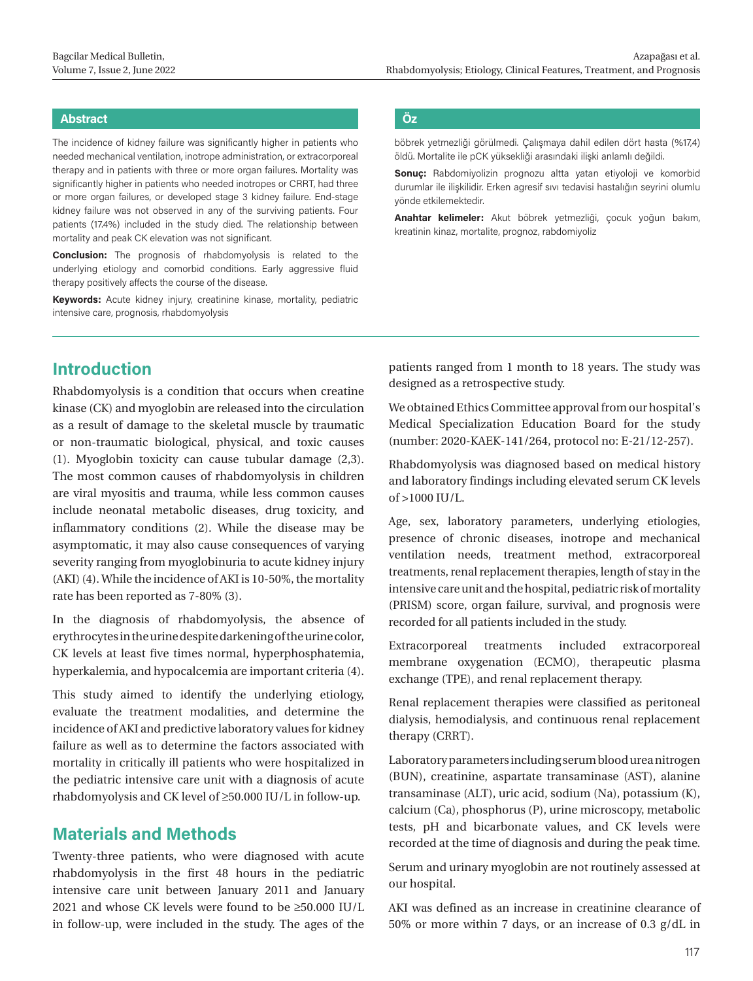## **Abstract Öz**

The incidence of kidney failure was significantly higher in patients who needed mechanical ventilation, inotrope administration, or extracorporeal therapy and in patients with three or more organ failures. Mortality was significantly higher in patients who needed inotropes or CRRT, had three or more organ failures, or developed stage 3 kidney failure. End-stage kidney failure was not observed in any of the surviving patients. Four patients (17.4%) included in the study died. The relationship between mortality and peak CK elevation was not significant.

**Conclusion:** The prognosis of rhabdomyolysis is related to the underlying etiology and comorbid conditions. Early aggressive fluid therapy positively affects the course of the disease.

**Keywords:** Acute kidney injury, creatinine kinase, mortality, pediatric intensive care, prognosis, rhabdomyolysis

böbrek yetmezliği görülmedi. Çalışmaya dahil edilen dört hasta (%17,4) öldü. Mortalite ile pCK yüksekliği arasındaki ilişki anlamlı değildi.

**Sonuç:** Rabdomiyolizin prognozu altta yatan etiyoloji ve komorbid durumlar ile ilişkilidir. Erken agresif sıvı tedavisi hastalığın seyrini olumlu yönde etkilemektedir.

**Anahtar kelimeler:** Akut böbrek yetmezliği, çocuk yoğun bakım, kreatinin kinaz, mortalite, prognoz, rabdomiyoliz

# **Introduction**

Rhabdomyolysis is a condition that occurs when creatine kinase (CK) and myoglobin are released into the circulation as a result of damage to the skeletal muscle by traumatic or non-traumatic biological, physical, and toxic causes (1). Myoglobin toxicity can cause tubular damage (2,3). The most common causes of rhabdomyolysis in children are viral myositis and trauma, while less common causes include neonatal metabolic diseases, drug toxicity, and inflammatory conditions (2). While the disease may be asymptomatic, it may also cause consequences of varying severity ranging from myoglobinuria to acute kidney injury (AKI) (4). While the incidence of AKI is 10-50%, the mortality rate has been reported as 7-80% (3).

In the diagnosis of rhabdomyolysis, the absence of erythrocytes in the urine despite darkening of the urine color, CK levels at least five times normal, hyperphosphatemia, hyperkalemia, and hypocalcemia are important criteria (4).

This study aimed to identify the underlying etiology, evaluate the treatment modalities, and determine the incidence of AKI and predictive laboratory values for kidney failure as well as to determine the factors associated with mortality in critically ill patients who were hospitalized in the pediatric intensive care unit with a diagnosis of acute rhabdomyolysis and CK level of ≥50.000 IU/L in follow-up.

# **Materials and Methods**

Twenty-three patients, who were diagnosed with acute rhabdomyolysis in the first 48 hours in the pediatric intensive care unit between January 2011 and January 2021 and whose CK levels were found to be ≥50.000 IU/L in follow-up, were included in the study. The ages of the patients ranged from 1 month to 18 years. The study was designed as a retrospective study.

We obtained Ethics Committee approval from our hospital's Medical Specialization Education Board for the study (number: 2020-KAEK-141/264, protocol no: E-21/12-257).

Rhabdomyolysis was diagnosed based on medical history and laboratory findings including elevated serum CK levels  $of > 1000$  III/L.

Age, sex, laboratory parameters, underlying etiologies, presence of chronic diseases, inotrope and mechanical ventilation needs, treatment method, extracorporeal treatments, renal replacement therapies, length of stay in the intensive care unit and the hospital, pediatric risk of mortality (PRISM) score, organ failure, survival, and prognosis were recorded for all patients included in the study.

Extracorporeal treatments included extracorporeal membrane oxygenation (ECMO), therapeutic plasma exchange (TPE), and renal replacement therapy.

Renal replacement therapies were classified as peritoneal dialysis, hemodialysis, and continuous renal replacement therapy (CRRT).

Laboratory parameters including serum blood urea nitrogen (BUN), creatinine, aspartate transaminase (AST), alanine transaminase (ALT), uric acid, sodium (Na), potassium (K), calcium (Ca), phosphorus (P), urine microscopy, metabolic tests, pH and bicarbonate values, and CK levels were recorded at the time of diagnosis and during the peak time.

Serum and urinary myoglobin are not routinely assessed at our hospital.

AKI was defined as an increase in creatinine clearance of 50% or more within 7 days, or an increase of 0.3 g/dL in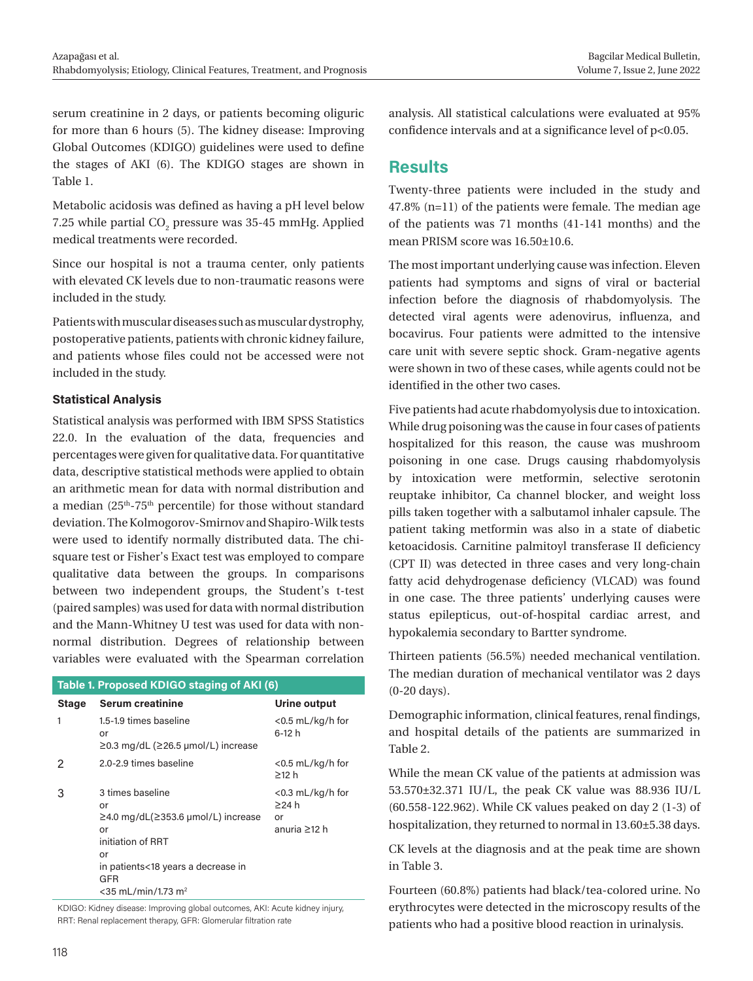serum creatinine in 2 days, or patients becoming oliguric for more than 6 hours (5). The kidney disease: Improving Global Outcomes (KDIGO) guidelines were used to define the stages of AKI (6). The KDIGO stages are shown in Table 1.

Metabolic acidosis was defined as having a pH level below 7.25 while partial  $\rm CO_2$  pressure was 35-45 mmHg. Applied medical treatments were recorded.

Since our hospital is not a trauma center, only patients with elevated CK levels due to non-traumatic reasons were included in the study.

Patients with muscular diseases such as muscular dystrophy, postoperative patients, patients with chronic kidney failure, and patients whose files could not be accessed were not included in the study.

### **Statistical Analysis**

Statistical analysis was performed with IBM SPSS Statistics 22.0. In the evaluation of the data, frequencies and percentages were given for qualitative data. For quantitative data, descriptive statistical methods were applied to obtain an arithmetic mean for data with normal distribution and a median  $(25<sup>th</sup>-75<sup>th</sup>$  percentile) for those without standard deviation. The Kolmogorov-Smirnov and Shapiro-Wilk tests were used to identify normally distributed data. The chisquare test or Fisher's Exact test was employed to compare qualitative data between the groups. In comparisons between two independent groups, the Student's t-test (paired samples) was used for data with normal distribution and the Mann-Whitney U test was used for data with nonnormal distribution. Degrees of relationship between variables were evaluated with the Spearman correlation

| Table 1. Proposed KDIGO staging of AKI (6) |                                                                                                                                                                                              |                                                          |  |  |  |
|--------------------------------------------|----------------------------------------------------------------------------------------------------------------------------------------------------------------------------------------------|----------------------------------------------------------|--|--|--|
| <b>Stage</b>                               | <b>Serum creatinine</b>                                                                                                                                                                      | Urine output                                             |  |  |  |
| 1                                          | 1.5-1.9 times baseline<br>or<br>≥0.3 mg/dL (≥26.5 µmol/L) increase                                                                                                                           | <0.5 mL/kg/h for<br>6-12 h                               |  |  |  |
| 2                                          | 2.0-2.9 times baseline                                                                                                                                                                       | $<$ 0.5 mL/kg/h for<br>$\geq$ 12 h                       |  |  |  |
| 3                                          | 3 times baseline<br>or<br>$\geq$ 4.0 mg/dL( $\geq$ 353.6 µmol/L) increase<br>or<br>initiation of RRT<br>or<br>in patients<18 years a decrease in<br>GFR<br>$<$ 35 mL/min/1.73 m <sup>2</sup> | $<$ 0.3 mL/kg/h for<br>$\geq$ 24 h<br>or<br>anuria >12 h |  |  |  |

KDIGO: Kidney disease: Improving global outcomes, AKI: Acute kidney injury, RRT: Renal replacement therapy, GFR: Glomerular filtration rate

analysis. All statistical calculations were evaluated at 95% confidence intervals and at a significance level of p<0.05.

# **Results**

Twenty-three patients were included in the study and 47.8% (n=11) of the patients were female. The median age of the patients was 71 months (41-141 months) and the mean PRISM score was 16.50±10.6.

The most important underlying cause was infection. Eleven patients had symptoms and signs of viral or bacterial infection before the diagnosis of rhabdomyolysis. The detected viral agents were adenovirus, influenza, and bocavirus. Four patients were admitted to the intensive care unit with severe septic shock. Gram-negative agents were shown in two of these cases, while agents could not be identified in the other two cases.

Five patients had acute rhabdomyolysis due to intoxication. While drug poisoning was the cause in four cases of patients hospitalized for this reason, the cause was mushroom poisoning in one case. Drugs causing rhabdomyolysis by intoxication were metformin, selective serotonin reuptake inhibitor, Ca channel blocker, and weight loss pills taken together with a salbutamol inhaler capsule. The patient taking metformin was also in a state of diabetic ketoacidosis. Carnitine palmitoyl transferase II deficiency (CPT II) was detected in three cases and very long-chain fatty acid dehydrogenase deficiency (VLCAD) was found in one case. The three patients' underlying causes were status epilepticus, out-of-hospital cardiac arrest, and hypokalemia secondary to Bartter syndrome.

Thirteen patients (56.5%) needed mechanical ventilation. The median duration of mechanical ventilator was 2 days (0-20 days).

Demographic information, clinical features, renal findings, and hospital details of the patients are summarized in Table 2.

While the mean CK value of the patients at admission was 53.570±32.371 IU/L, the peak CK value was 88.936 IU/L (60.558-122.962). While CK values peaked on day 2 (1-3) of hospitalization, they returned to normal in 13.60±5.38 days.

CK levels at the diagnosis and at the peak time are shown in Table 3.

Fourteen (60.8%) patients had black/tea-colored urine. No erythrocytes were detected in the microscopy results of the patients who had a positive blood reaction in urinalysis.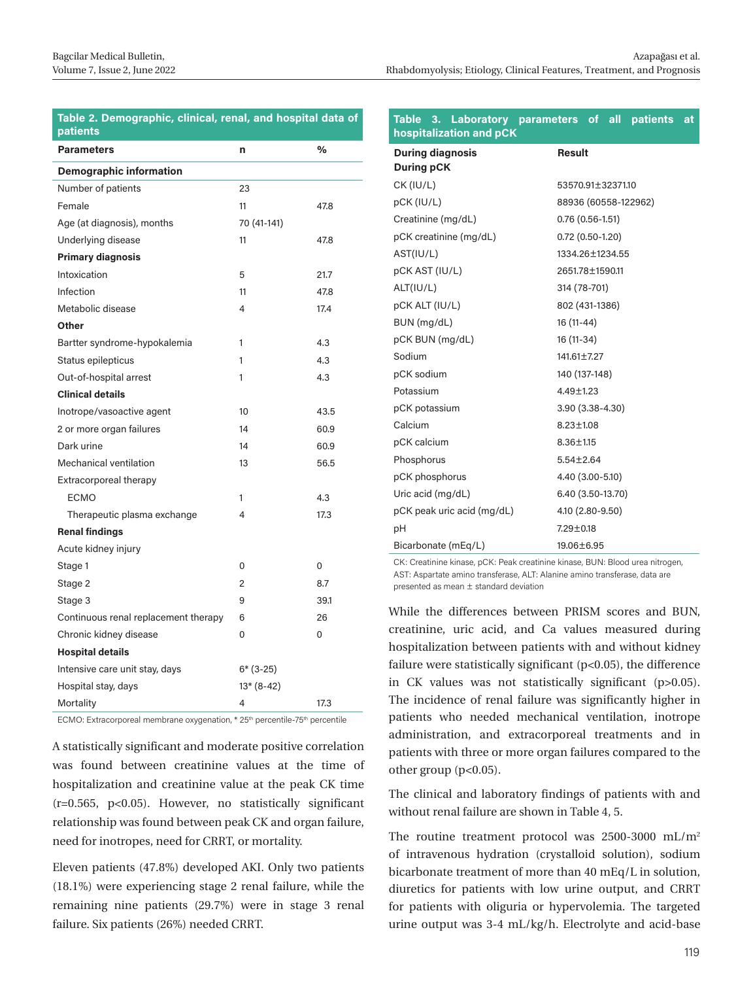#### **Table 2. Demographic, clinical, renal, and hospital data of patients**

| <b>Parameters</b>                    | n              | %        |  |  |  |
|--------------------------------------|----------------|----------|--|--|--|
| <b>Demographic information</b>       |                |          |  |  |  |
| Number of patients                   | 23             |          |  |  |  |
| Female                               | 11             | 47.8     |  |  |  |
| Age (at diagnosis), months           | 70 (41-141)    |          |  |  |  |
| Underlying disease                   | 11             | 47.8     |  |  |  |
| <b>Primary diagnosis</b>             |                |          |  |  |  |
| Intoxication                         | 5              | 21.7     |  |  |  |
| Infection                            | 11             | 47.8     |  |  |  |
| Metabolic disease                    | 4              | 17.4     |  |  |  |
| Other                                |                |          |  |  |  |
| Bartter syndrome-hypokalemia         | 1              | 4.3      |  |  |  |
| Status epilepticus                   | 1              | 4.3      |  |  |  |
| Out-of-hospital arrest               | 1              | 4.3      |  |  |  |
| <b>Clinical details</b>              |                |          |  |  |  |
| Inotrope/vasoactive agent            | 10             | 43.5     |  |  |  |
| 2 or more organ failures             | 14             | 60.9     |  |  |  |
| Dark urine                           | 14             | 60.9     |  |  |  |
| <b>Mechanical ventilation</b>        | 13             | 56.5     |  |  |  |
| Extracorporeal therapy               |                |          |  |  |  |
| <b>ECMO</b>                          | 1              | 4.3      |  |  |  |
| Therapeutic plasma exchange          | 4              | 17.3     |  |  |  |
| <b>Renal findings</b>                |                |          |  |  |  |
| Acute kidney injury                  |                |          |  |  |  |
| Stage 1                              | $\Omega$       | $\Omega$ |  |  |  |
| Stage 2                              | $\mathfrak{p}$ | 8.7      |  |  |  |
| Stage 3                              | 9              | 39.1     |  |  |  |
| Continuous renal replacement therapy | 6              | 26       |  |  |  |
| Chronic kidney disease               | 0              | 0        |  |  |  |
| <b>Hospital details</b>              |                |          |  |  |  |
| Intensive care unit stay, days       | $6*(3-25)$     |          |  |  |  |
| Hospital stay, days                  | $13*(8-42)$    |          |  |  |  |
| Mortality                            | 4              | 17.3     |  |  |  |

ECMO: Extracorporeal membrane oxygenation, \* 25<sup>th</sup> percentile-75<sup>th</sup> percentile

A statistically significant and moderate positive correlation was found between creatinine values at the time of hospitalization and creatinine value at the peak CK time (r=0.565, p<0.05). However, no statistically significant relationship was found between peak CK and organ failure, need for inotropes, need for CRRT, or mortality.

Eleven patients (47.8%) developed AKI. Only two patients (18.1%) were experiencing stage 2 renal failure, while the remaining nine patients (29.7%) were in stage 3 renal failure. Six patients (26%) needed CRRT.

#### **Table 3. Laboratory parameters of all patients at hospitalization and pCK**

| <b>During diagnosis</b>    | <b>Result</b>        |
|----------------------------|----------------------|
| <b>During pCK</b>          |                      |
| CK (IU/L)                  | 53570.91±32371.10    |
| pCK (IU/L)                 | 88936 (60558-122962) |
| Creatinine (mg/dL)         | $0.76(0.56-1.51)$    |
| pCK creatinine (mg/dL)     | $0.72(0.50-1.20)$    |
| AST(IU/L)                  | 1334.26±1234.55      |
| pCK AST (IU/L)             | 2651.78±1590.11      |
| ALT(IU/L)                  | 314 (78-701)         |
| pCK ALT (IU/L)             | 802 (431-1386)       |
| BUN (mg/dL)                | 16 (11-44)           |
| pCK BUN (mg/dL)            | 16 (11-34)           |
| Sodium                     | 141,61±7.27          |
| pCK sodium                 | 140 (137-148)        |
| Potassium                  | $4.49 \pm 1.23$      |
| pCK potassium              | 3.90 (3.38-4.30)     |
| Calcium                    | $8.23 \pm 1.08$      |
| pCK calcium                | $8.36 \pm 1.15$      |
| Phosphorus                 | $5.54 \pm 2.64$      |
| pCK phosphorus             | 4.40 (3.00-5.10)     |
| Uric acid (mg/dL)          | 6.40 (3.50-13.70)    |
| pCK peak uric acid (mg/dL) | 4.10 (2.80-9.50)     |
| рH                         | 7.29±0.18            |
| Bicarbonate (mEq/L)        | 19.06±6.95           |

CK: Creatinine kinase, pCK: Peak creatinine kinase, BUN: Blood urea nitrogen, AST: Aspartate amino transferase, ALT: Alanine amino transferase, data are presented as mean ± standard deviation

While the differences between PRISM scores and BUN, creatinine, uric acid, and Ca values measured during hospitalization between patients with and without kidney failure were statistically significant (p<0.05), the difference in CK values was not statistically significant (p>0.05). The incidence of renal failure was significantly higher in patients who needed mechanical ventilation, inotrope administration, and extracorporeal treatments and in patients with three or more organ failures compared to the other group (p<0.05).

The clinical and laboratory findings of patients with and without renal failure are shown in Table 4, 5.

The routine treatment protocol was  $2500-3000$  mL/m<sup>2</sup> of intravenous hydration (crystalloid solution), sodium bicarbonate treatment of more than 40 mEq/L in solution, diuretics for patients with low urine output, and CRRT for patients with oliguria or hypervolemia. The targeted urine output was 3-4 mL/kg/h. Electrolyte and acid-base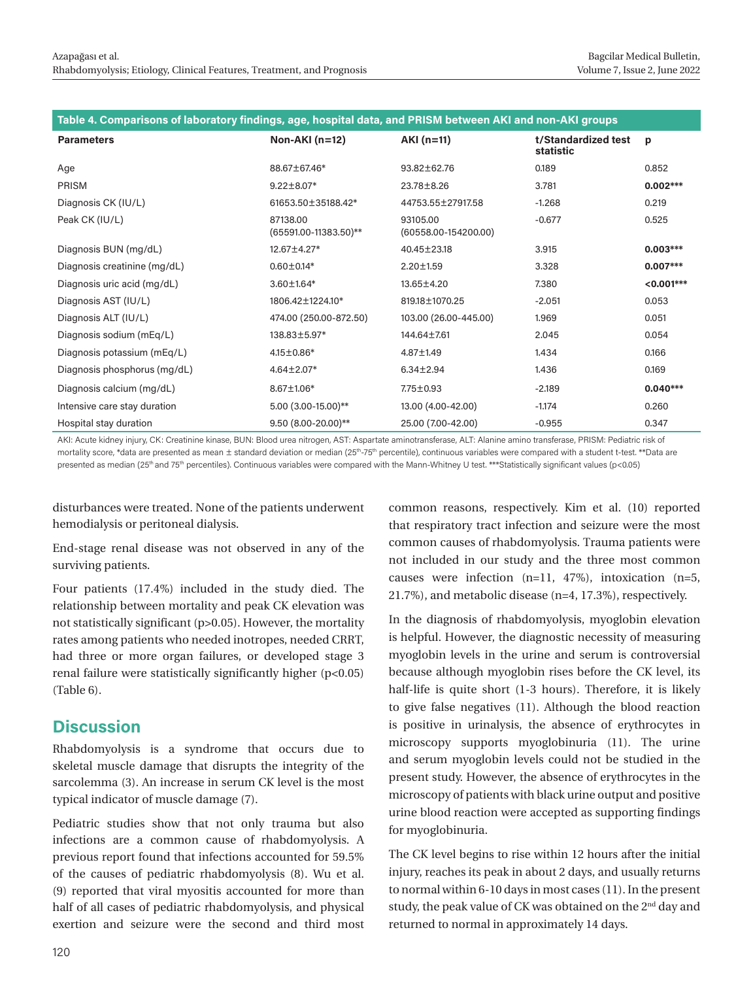|                              | Table 4. Comparisons of laboratory findings, age, hospital data, and PRISM between AKI and non-AKI groups<br>Non-AKI $(n=12)$<br>$AKI(n=11)$<br>t/Standardized test<br>p<br>statistic<br>0.852<br>0.189<br>88.67±67.46*<br>93.82±62.76<br>$0.002***$<br>$9.22 \pm 8.07*$<br>3.781<br>23.78±8.26 |                                      |          |              |  |  |
|------------------------------|-------------------------------------------------------------------------------------------------------------------------------------------------------------------------------------------------------------------------------------------------------------------------------------------------|--------------------------------------|----------|--------------|--|--|
| <b>Parameters</b>            |                                                                                                                                                                                                                                                                                                 |                                      |          |              |  |  |
| Age                          |                                                                                                                                                                                                                                                                                                 |                                      |          |              |  |  |
| <b>PRISM</b>                 |                                                                                                                                                                                                                                                                                                 |                                      |          |              |  |  |
| Diagnosis CK (IU/L)          | 61653.50±35188.42*                                                                                                                                                                                                                                                                              | 44753.55±27917.58                    | $-1.268$ | 0.219        |  |  |
| Peak CK (IU/L)               | 87138.00<br>$(65591.00-11383.50)$ **                                                                                                                                                                                                                                                            | 93105.00<br>$(60558.00 - 154200.00)$ | $-0.677$ | 0.525        |  |  |
| Diagnosis BUN (mg/dL)        | 12.67±4.27*                                                                                                                                                                                                                                                                                     | 40.45±23.18                          | 3.915    | $0.003***$   |  |  |
| Diagnosis creatinine (mg/dL) | $0.60 \pm 0.14*$                                                                                                                                                                                                                                                                                | $2.20 \pm 1.59$                      | 3.328    | $0.007***$   |  |  |
| Diagnosis uric acid (mg/dL)  | $3.60 \pm 1.64*$                                                                                                                                                                                                                                                                                | 13.65±4.20                           | 7.380    | $< 0.001***$ |  |  |
| Diagnosis AST (IU/L)         | 1806.42±1224.10*                                                                                                                                                                                                                                                                                | 819.18±1070.25                       | $-2.051$ | 0.053        |  |  |
| Diagnosis ALT (IU/L)         | 474.00 (250.00-872.50)                                                                                                                                                                                                                                                                          | 103.00 (26.00-445.00)                | 1.969    | 0.051        |  |  |
| Diagnosis sodium (mEq/L)     | 138,83±5,97*                                                                                                                                                                                                                                                                                    | 144.64±7.61                          | 2.045    | 0.054        |  |  |
| Diagnosis potassium (mEq/L)  | $4.15 \pm 0.86*$                                                                                                                                                                                                                                                                                | 4.87±1.49                            | 1.434    | 0.166        |  |  |
| Diagnosis phosphorus (mg/dL) | 4.64±2.07*                                                                                                                                                                                                                                                                                      | $6.34 \pm 2.94$                      | 1.436    | 0.169        |  |  |
| Diagnosis calcium (mg/dL)    | $8.67 \pm 1.06*$                                                                                                                                                                                                                                                                                | 7.75±0.93                            | $-2.189$ | $0.040***$   |  |  |
| Intensive care stay duration | 5.00 (3.00-15.00)**                                                                                                                                                                                                                                                                             | 13.00 (4.00-42.00)                   | $-1.174$ | 0.260        |  |  |
| Hospital stay duration       | $9.50(8.00-20.00)$ **                                                                                                                                                                                                                                                                           | 25.00 (7.00-42.00)                   | $-0.955$ | 0.347        |  |  |

AKI: Acute kidney injury, CK: Creatinine kinase, BUN: Blood urea nitrogen, AST: Aspartate aminotransferase, ALT: Alanine amino transferase, PRISM: Pediatric risk of mortality score, \*data are presented as mean ± standard deviation or median (25<sup>th</sup>-75<sup>th</sup> percentile), continuous variables were compared with a student t-test. \*\*Data are presented as median (25<sup>th</sup> and 75<sup>th</sup> percentiles). Continuous variables were compared with the Mann-Whitney U test. \*\*\*Statistically significant values (p<0.05)

disturbances were treated. None of the patients underwent hemodialysis or peritoneal dialysis.

End-stage renal disease was not observed in any of the surviving patients.

Four patients (17.4%) included in the study died. The relationship between mortality and peak CK elevation was not statistically significant (p>0.05). However, the mortality rates among patients who needed inotropes, needed CRRT, had three or more organ failures, or developed stage 3 renal failure were statistically significantly higher (p<0.05) (Table 6).

# **Discussion**

Rhabdomyolysis is a syndrome that occurs due to skeletal muscle damage that disrupts the integrity of the sarcolemma (3). An increase in serum CK level is the most typical indicator of muscle damage (7).

Pediatric studies show that not only trauma but also infections are a common cause of rhabdomyolysis. A previous report found that infections accounted for 59.5% of the causes of pediatric rhabdomyolysis (8). Wu et al. (9) reported that viral myositis accounted for more than half of all cases of pediatric rhabdomyolysis, and physical exertion and seizure were the second and third most

common reasons, respectively. Kim et al. (10) reported that respiratory tract infection and seizure were the most common causes of rhabdomyolysis. Trauma patients were not included in our study and the three most common causes were infection (n=11, 47%), intoxication (n=5, 21.7%), and metabolic disease (n=4, 17.3%), respectively.

In the diagnosis of rhabdomyolysis, myoglobin elevation is helpful. However, the diagnostic necessity of measuring myoglobin levels in the urine and serum is controversial because although myoglobin rises before the CK level, its half-life is quite short (1-3 hours). Therefore, it is likely to give false negatives (11). Although the blood reaction is positive in urinalysis, the absence of erythrocytes in microscopy supports myoglobinuria (11). The urine and serum myoglobin levels could not be studied in the present study. However, the absence of erythrocytes in the microscopy of patients with black urine output and positive urine blood reaction were accepted as supporting findings for myoglobinuria.

The CK level begins to rise within 12 hours after the initial injury, reaches its peak in about 2 days, and usually returns to normal within 6-10 days in most cases (11). In the present study, the peak value of CK was obtained on the 2<sup>nd</sup> day and returned to normal in approximately 14 days.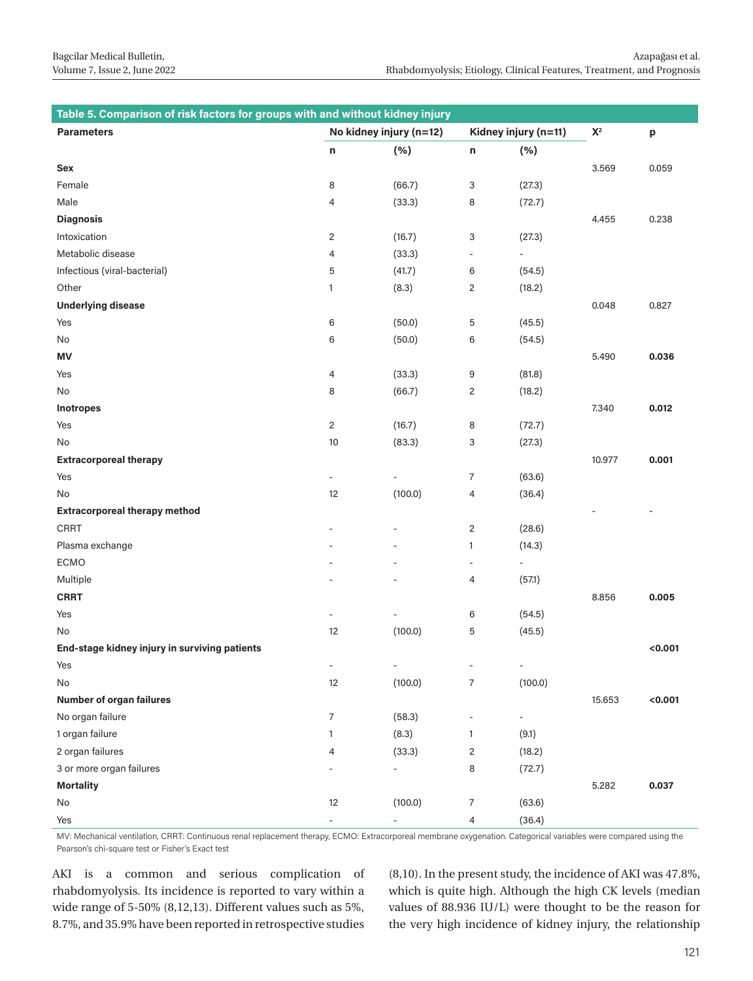| Table 5. Comparison of risk factors for groups with and without kidney injury |                          |                          |                           |                              |                |                          |
|-------------------------------------------------------------------------------|--------------------------|--------------------------|---------------------------|------------------------------|----------------|--------------------------|
| <b>Parameters</b>                                                             | No kidney injury (n=12)  |                          | Kidney injury (n=11)      |                              | $\mathsf{X}^2$ | p                        |
|                                                                               | n                        | (%)                      | n                         | (% )                         |                |                          |
| Sex                                                                           |                          |                          |                           |                              | 3.569          | 0.059                    |
| Female                                                                        | 8                        | (66.7)                   | 3                         | (27.3)                       |                |                          |
| Male                                                                          | 4                        | (33.3)                   | 8                         | (72.7)                       |                |                          |
| <b>Diagnosis</b>                                                              |                          |                          |                           |                              | 4.455          | 0.238                    |
| Intoxication                                                                  | $\overline{c}$           | (16.7)                   | $\ensuremath{\mathsf{3}}$ | (27.3)                       |                |                          |
| Metabolic disease                                                             | 4                        | (33.3)                   | $\centerdot$              | $\qquad \qquad \blacksquare$ |                |                          |
| Infectious (viral-bacterial)                                                  | 5                        | (41.7)                   | 6                         | (54.5)                       |                |                          |
| Other                                                                         | $\mathbf{1}$             | (8.3)                    | $\overline{c}$            | (18.2)                       |                |                          |
| <b>Underlying disease</b>                                                     |                          |                          |                           |                              | 0.048          | 0.827                    |
| Yes                                                                           | 6                        | (50.0)                   | 5                         | (45.5)                       |                |                          |
| No                                                                            | 6                        | (50.0)                   | 6                         | (54.5)                       |                |                          |
| <b>MV</b>                                                                     |                          |                          |                           |                              | 5.490          | 0.036                    |
| Yes                                                                           | 4                        | (33.3)                   | 9                         | (81.8)                       |                |                          |
| No                                                                            | 8                        | (66.7)                   | $\overline{2}$            | (18.2)                       |                |                          |
| Inotropes                                                                     |                          |                          |                           |                              | 7.340          | 0.012                    |
| Yes                                                                           | $\overline{c}$           | (16.7)                   | 8                         | (72.7)                       |                |                          |
| No                                                                            | 10                       | (83.3)                   | 3                         | (27.3)                       |                |                          |
| <b>Extracorporeal therapy</b>                                                 |                          |                          |                           |                              | 10.977         | 0.001                    |
| Yes                                                                           | $\qquad \qquad -$        | $\overline{\phantom{a}}$ | 7                         | (63.6)                       |                |                          |
| No                                                                            | 12                       | (100.0)                  | 4                         | (36.4)                       |                |                          |
| <b>Extracorporeal therapy method</b>                                          |                          |                          |                           |                              |                | $\overline{\phantom{a}}$ |
| CRRT                                                                          |                          |                          | $\overline{2}$            | (28.6)                       |                |                          |
| Plasma exchange                                                               |                          |                          | $\mathbf{1}$              | (14.3)                       |                |                          |
| ECMO                                                                          |                          |                          | $\overline{\phantom{a}}$  | $\overline{\phantom{a}}$     |                |                          |
| Multiple                                                                      |                          |                          | 4                         | (57.1)                       |                |                          |
| <b>CRRT</b>                                                                   |                          |                          |                           |                              | 8.856          | 0.005                    |
| Yes                                                                           | $\overline{a}$           |                          | $6\,$                     | (54.5)                       |                |                          |
| No                                                                            | 12                       | (100.0)                  | 5                         | (45.5)                       |                |                          |
| End-stage kidney injury in surviving patients                                 |                          |                          |                           |                              |                | < 0.001                  |
| Yes                                                                           | $\overline{\phantom{a}}$ |                          |                           | $\overline{\phantom{a}}$     |                |                          |
| No                                                                            | 12                       | (100.0)                  | 7                         | (100.0)                      |                |                          |
| Number of organ failures                                                      |                          |                          |                           |                              | 15.653         | < 0.001                  |
| No organ failure                                                              | 7                        | (58.3)                   | $\overline{a}$            | $\overline{\phantom{m}}$     |                |                          |
| 1 organ failure                                                               | 1                        | (8.3)                    | $\mathbf{1}$              | (9.1)                        |                |                          |
| 2 organ failures                                                              | 4                        | (33.3)                   | $\overline{c}$            | (18.2)                       |                |                          |
| 3 or more organ failures                                                      |                          |                          | 8                         | (72.7)                       |                |                          |
| <b>Mortality</b>                                                              |                          |                          |                           |                              | 5.282          | 0.037                    |
| No                                                                            | 12                       | (100.0)                  | 7                         | (63.6)                       |                |                          |
| Yes                                                                           | $\overline{\phantom{a}}$ |                          | 4                         | (36.4)                       |                |                          |

MV: Mechanical ventilation, CRRT: Continuous renal replacement therapy, ECMO: Extracorporeal membrane oxygenation. Categorical variables were compared using the Pearson's chi-square test or Fisher's Exact test

AKI is a common and serious complication of rhabdomyolysis. Its incidence is reported to vary within a wide range of 5-50% (8,12,13). Different values such as 5%, 8.7%, and 35.9% have been reported in retrospective studies

(8,10). In the present study, the incidence of AKI was 47.8%, which is quite high. Although the high CK levels (median values of 88.936 IU/L) were thought to be the reason for the very high incidence of kidney injury, the relationship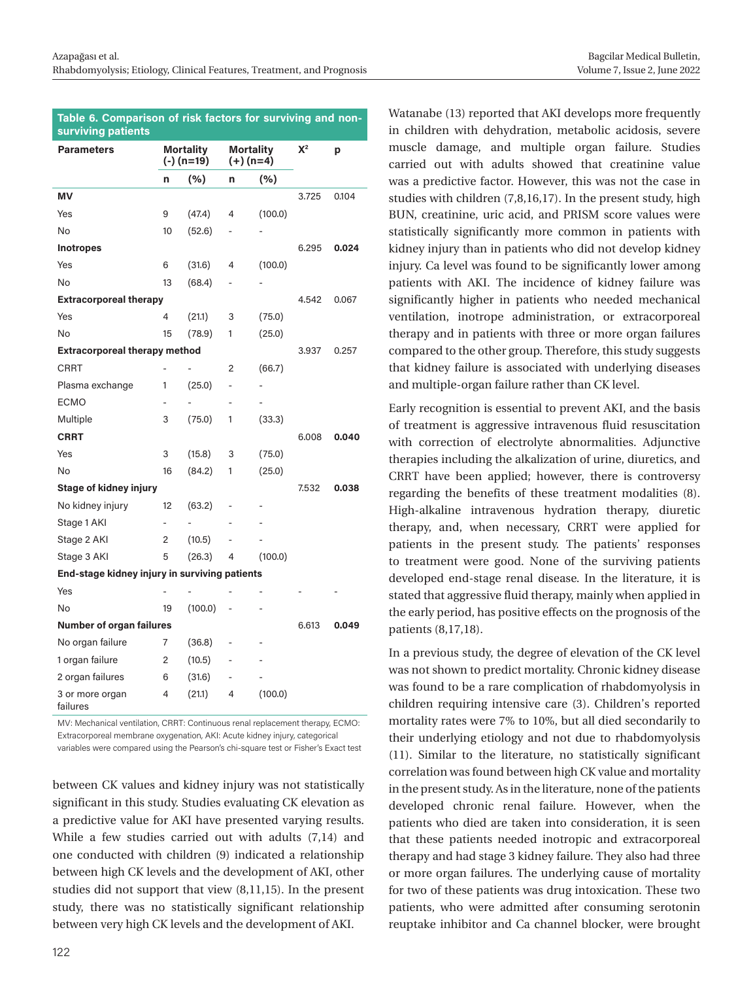| Bagcilar Medical Bulletin,   |  |
|------------------------------|--|
| Volume 7, Issue 2, June 2022 |  |

| Table 6. Comparison of risk factors for surviving and non-<br>surviving patients |                                  |         |                                 |         |       |       |
|----------------------------------------------------------------------------------|----------------------------------|---------|---------------------------------|---------|-------|-------|
| <b>Parameters</b>                                                                | <b>Mortality</b><br>$(-)$ (n=19) |         | <b>Mortality</b><br>$(+)$ (n=4) |         | $X^2$ | p     |
|                                                                                  | n                                | (%)     | n                               | (%)     |       |       |
| ΜV                                                                               |                                  |         |                                 |         | 3.725 | 0.104 |
| Yes                                                                              | 9                                | (47.4)  | 4                               | (100.0) |       |       |
| No                                                                               | 10                               | (52.6)  |                                 |         |       |       |
| <b>Inotropes</b>                                                                 |                                  |         |                                 |         | 6.295 | 0.024 |
| Yes                                                                              | 6                                | (31.6)  | 4                               | (100.0) |       |       |
| No                                                                               | 13                               | (68.4)  |                                 |         |       |       |
| <b>Extracorporeal therapy</b>                                                    |                                  |         |                                 |         | 4.542 | 0.067 |
| Yes                                                                              | 4                                | (21.1)  | 3                               | (75.0)  |       |       |
| <b>No</b>                                                                        | 15                               | (78.9)  | 1                               | (25.0)  |       |       |
| <b>Extracorporeal therapy method</b>                                             |                                  |         |                                 |         | 3.937 | 0.257 |
| <b>CRRT</b>                                                                      |                                  |         | $\overline{2}$                  | (66.7)  |       |       |
| Plasma exchange                                                                  | 1                                | (25.0)  |                                 |         |       |       |
| <b>ECMO</b>                                                                      |                                  |         |                                 |         |       |       |
| Multiple                                                                         | 3                                | (75.0)  | 1                               | (33.3)  |       |       |
| <b>CRRT</b>                                                                      |                                  |         |                                 |         | 6.008 | 0.040 |
| Yes                                                                              | 3                                | (15.8)  | 3                               | (75.0)  |       |       |
| <b>No</b>                                                                        | 16                               | (84.2)  | 1                               | (25.0)  |       |       |
| Stage of kidney injury                                                           |                                  |         |                                 |         | 7.532 | 0.038 |
| No kidney injury                                                                 | 12                               | (63.2)  |                                 |         |       |       |
| Stage 1 AKI                                                                      |                                  |         |                                 |         |       |       |
| Stage 2 AKI                                                                      | 2                                | (10.5)  |                                 |         |       |       |
| Stage 3 AKI                                                                      | 5                                | (26.3)  | 4                               | (100.0) |       |       |
| End-stage kidney injury in surviving patients                                    |                                  |         |                                 |         |       |       |
| Yes                                                                              |                                  |         |                                 |         |       |       |
| No                                                                               | 19                               | (100.0) |                                 |         |       |       |
| <b>Number of organ failures</b>                                                  |                                  |         |                                 | 6.613   | 0.049 |       |
| No organ failure                                                                 | 7                                | (36.8)  |                                 |         |       |       |
| 1 organ failure                                                                  | 2                                | (10.5)  |                                 |         |       |       |
| 2 organ failures                                                                 | 6                                | (31.6)  |                                 |         |       |       |
| 3 or more organ<br>failures                                                      | 4                                | (21.1)  | 4                               | (100.0) |       |       |

MV: Mechanical ventilation, CRRT: Continuous renal replacement therapy, ECMO: Extracorporeal membrane oxygenation, AKI: Acute kidney injury, categorical variables were compared using the Pearson's chi-square test or Fisher's Exact test

between CK values and kidney injury was not statistically significant in this study. Studies evaluating CK elevation as a predictive value for AKI have presented varying results. While a few studies carried out with adults (7,14) and one conducted with children (9) indicated a relationship between high CK levels and the development of AKI, other studies did not support that view (8,11,15). In the present study, there was no statistically significant relationship between very high CK levels and the development of AKI.

Watanabe (13) reported that AKI develops more frequently in children with dehydration, metabolic acidosis, severe muscle damage, and multiple organ failure. Studies carried out with adults showed that creatinine value was a predictive factor. However, this was not the case in studies with children (7,8,16,17). In the present study, high BUN, creatinine, uric acid, and PRISM score values were statistically significantly more common in patients with kidney injury than in patients who did not develop kidney injury. Ca level was found to be significantly lower among patients with AKI. The incidence of kidney failure was significantly higher in patients who needed mechanical ventilation, inotrope administration, or extracorporeal therapy and in patients with three or more organ failures compared to the other group. Therefore, this study suggests that kidney failure is associated with underlying diseases and multiple-organ failure rather than CK level.

Early recognition is essential to prevent AKI, and the basis of treatment is aggressive intravenous fluid resuscitation with correction of electrolyte abnormalities. Adjunctive therapies including the alkalization of urine, diuretics, and CRRT have been applied; however, there is controversy regarding the benefits of these treatment modalities (8). High-alkaline intravenous hydration therapy, diuretic therapy, and, when necessary, CRRT were applied for patients in the present study. The patients' responses to treatment were good. None of the surviving patients developed end-stage renal disease. In the literature, it is stated that aggressive fluid therapy, mainly when applied in the early period, has positive effects on the prognosis of the patients (8,17,18).

In a previous study, the degree of elevation of the CK level was not shown to predict mortality. Chronic kidney disease was found to be a rare complication of rhabdomyolysis in children requiring intensive care (3). Children's reported mortality rates were 7% to 10%, but all died secondarily to their underlying etiology and not due to rhabdomyolysis (11). Similar to the literature, no statistically significant correlation was found between high CK value and mortality in the present study. As in the literature, none of the patients developed chronic renal failure. However, when the patients who died are taken into consideration, it is seen that these patients needed inotropic and extracorporeal therapy and had stage 3 kidney failure. They also had three or more organ failures. The underlying cause of mortality for two of these patients was drug intoxication. These two patients, who were admitted after consuming serotonin reuptake inhibitor and Ca channel blocker, were brought